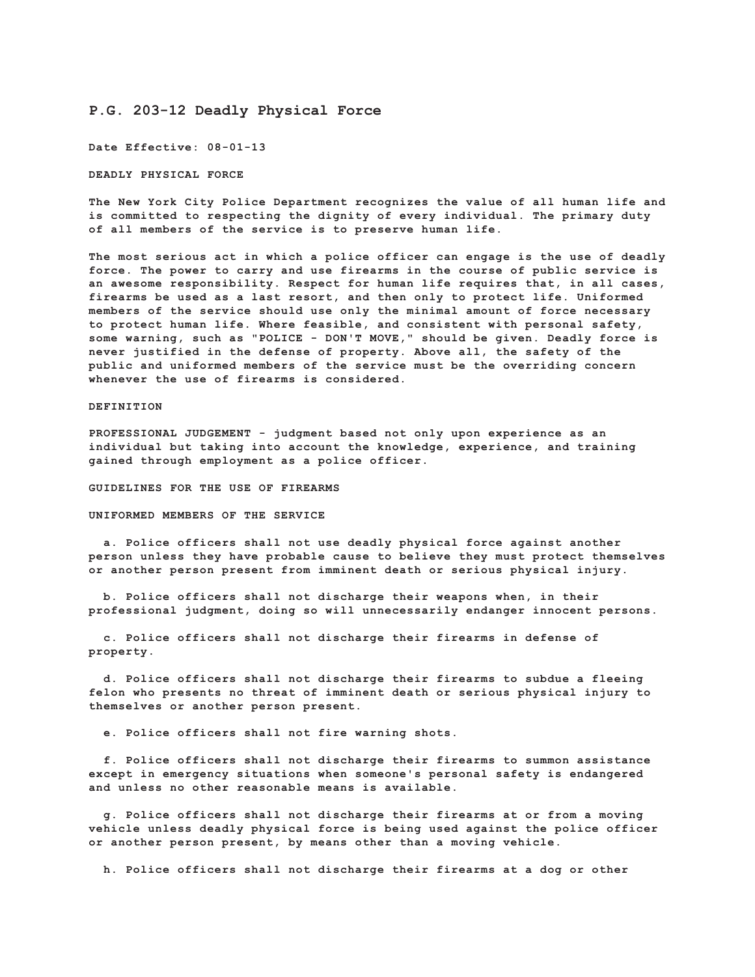## **P.G. 203-12 Deadly Physical Force**

**Date Effective: 08-01-13**

**DEADLY PHYSICAL FORCE**

**The New York City Police Department recognizes the value of all human life and is committed to respecting the dignity of every individual. The primary duty of all members of the service is to preserve human life.**

**The most serious act in which a police officer can engage is the use of deadly force. The power to carry and use firearms in the course of public service is an awesome responsibility. Respect for human life requires that, in all cases, firearms be used as a last resort, and then only to protect life. Uniformed members of the service should use only the minimal amount of force necessary to protect human life. Where feasible, and consistent with personal safety, some warning, such as "POLICE - DON'T MOVE," should be given. Deadly force is never justified in the defense of property. Above all, the safety of the public and uniformed members of the service must be the overriding concern whenever the use of firearms is considered.**

## **DEFINITION**

**PROFESSIONAL JUDGEMENT - judgment based not only upon experience as an individual but taking into account the knowledge, experience, and training gained through employment as a police officer.**

**GUIDELINES FOR THE USE OF FIREARMS**

**UNIFORMED MEMBERS OF THE SERVICE**

 **a. Police officers shall not use deadly physical force against another person unless they have probable cause to believe they must protect themselves or another person present from imminent death or serious physical injury.**

 **b. Police officers shall not discharge their weapons when, in their professional judgment, doing so will unnecessarily endanger innocent persons.**

 **c. Police officers shall not discharge their firearms in defense of property.**

 **d. Police officers shall not discharge their firearms to subdue a fleeing felon who presents no threat of imminent death or serious physical injury to themselves or another person present.**

 **e. Police officers shall not fire warning shots.**

 **f. Police officers shall not discharge their firearms to summon assistance except in emergency situations when someone's personal safety is endangered and unless no other reasonable means is available.**

 **g. Police officers shall not discharge their firearms at or from a moving vehicle unless deadly physical force is being used against the police officer or another person present, by means other than a moving vehicle.**

 **h. Police officers shall not discharge their firearms at a dog or other**